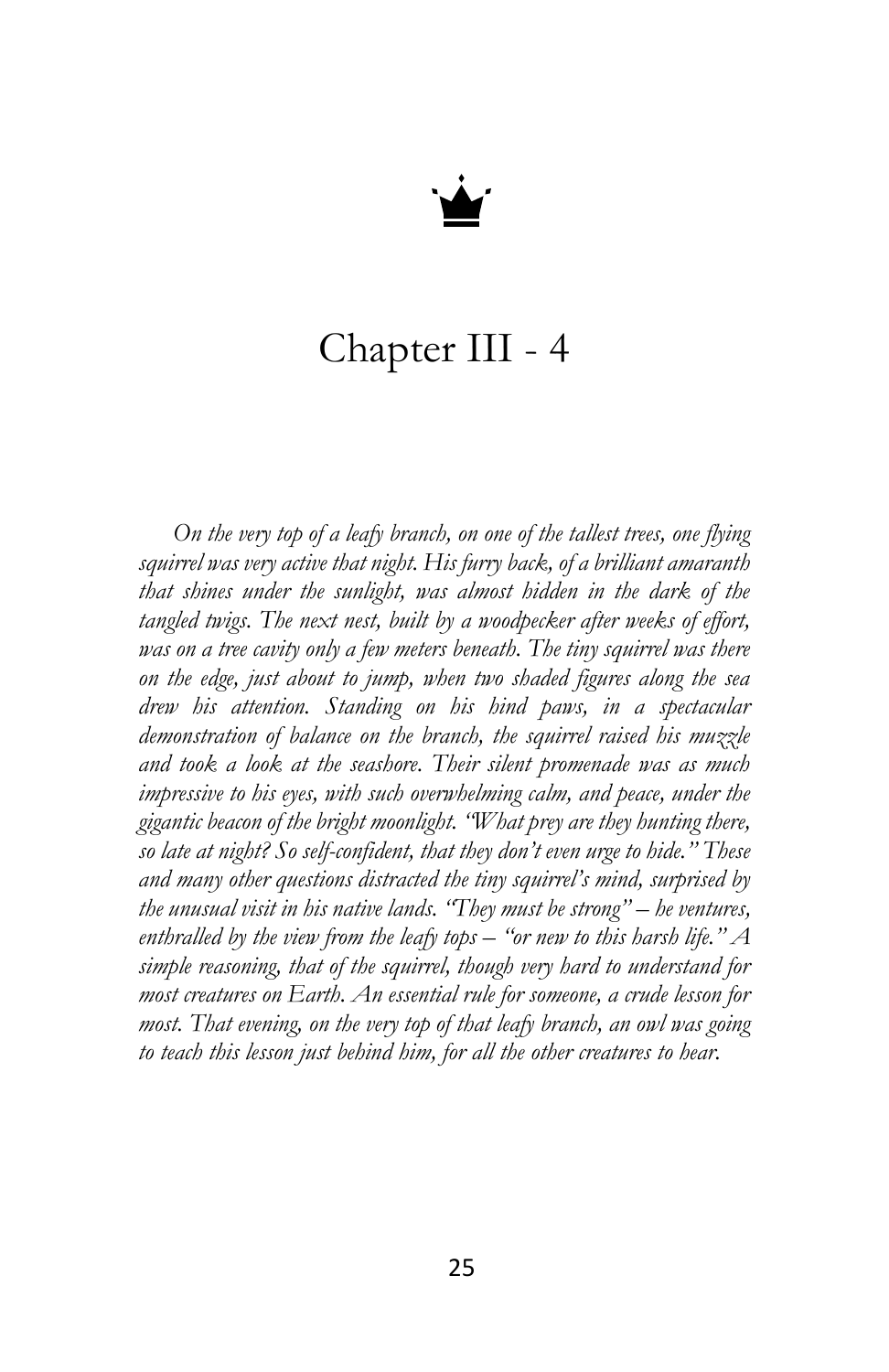

## Chapter III - 4

*On the very top of a leafy branch, on one of the tallest trees, one flying squirrel was very active that night. His furry back, of a brilliant amaranth that shines under the sunlight, was almost hidden in the dark of the tangled twigs. The next nest, built by a woodpecker after weeks of effort,*  was on a tree cavity only a few meters beneath. The tiny squirrel was there *on the edge, just about to jump, when two shaded figures along the sea drew his attention. Standing on his hind paws, in a spectacular demonstration of balance on the branch, the squirrel raised his muzzle and took a look at the seashore. Their silent promenade was as much impressive to his eyes, with such overwhelming calm, and peace, under the gigantic beacon of the bright moonlight. "What prey are they hunting there, so late at night? So self-confident, that they don't even urge to hide." These and many other questions distracted the tiny squirrel's mind, surprised by the unusual visit in his native lands. "They must be strong" – he ventures, enthralled by the view from the leafy tops – "or new to this harsh life." A simple reasoning, that of the squirrel, though very hard to understand for most creatures on Earth. An essential rule for someone, a crude lesson for most. That evening, on the very top of that leafy branch, an owl was going to teach this lesson just behind him, for all the other creatures to hear.*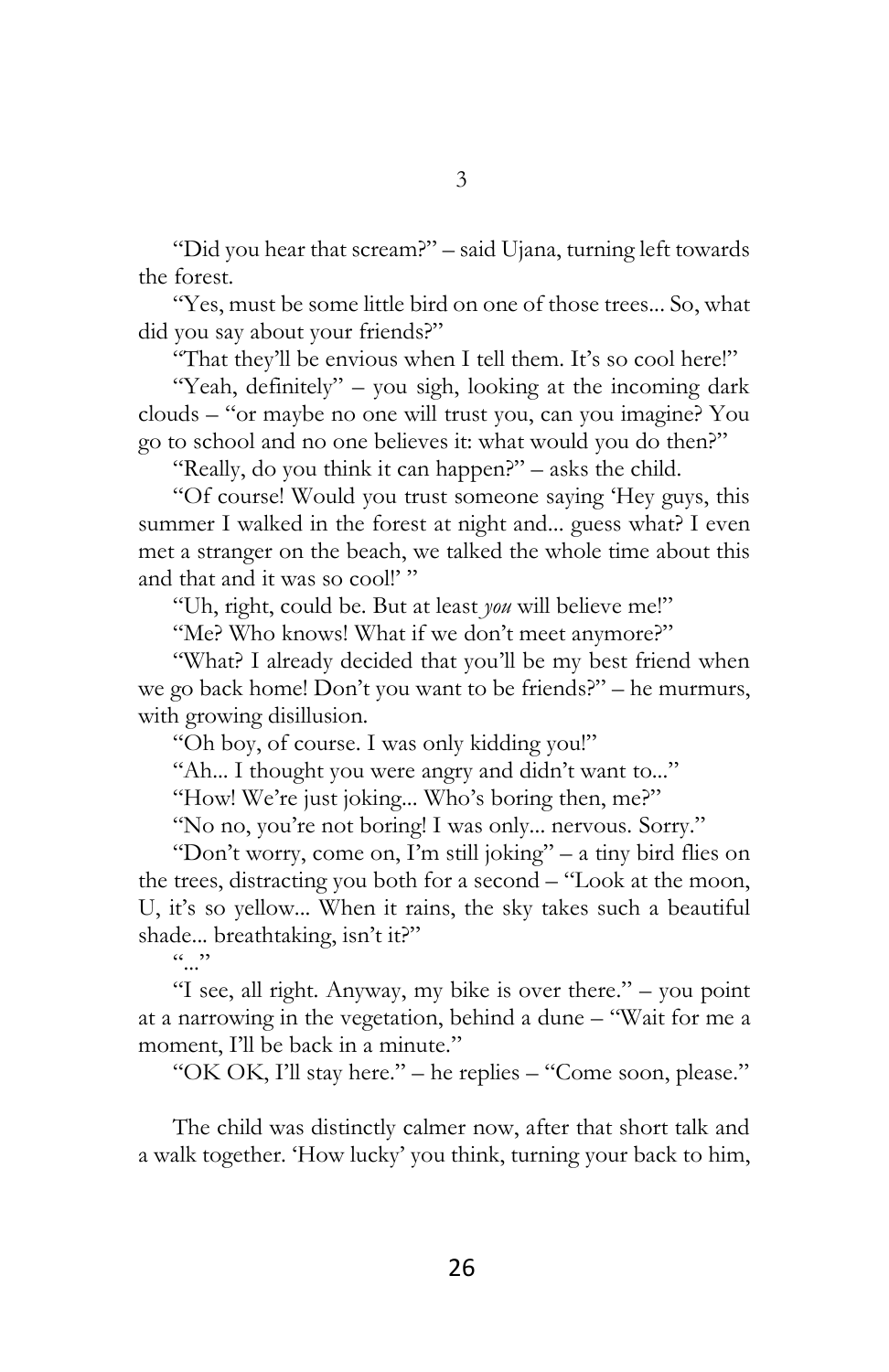"Did you hear that scream?" – said Ujana, turning left towards the forest.

"Yes, must be some little bird on one of those trees... So, what did you say about your friends?"

"That they'll be envious when I tell them. It's so cool here!"

"Yeah, definitely" – you sigh, looking at the incoming dark clouds – "or maybe no one will trust you, can you imagine? You go to school and no one believes it: what would you do then?"

"Really, do you think it can happen?" – asks the child.

"Of course! Would you trust someone saying 'Hey guys, this summer I walked in the forest at night and... guess what? I even met a stranger on the beach, we talked the whole time about this and that and it was so cool!'"

"Uh, right, could be. But at least *you* will believe me!"

"Me? Who knows! What if we don't meet anymore?"

"What? I already decided that you'll be my best friend when we go back home! Don't you want to be friends?" – he murmurs, with growing disillusion.

"Oh boy, of course. I was only kidding you!"

"Ah... I thought you were angry and didn't want to..."

"How! We're just joking... Who's boring then, me?"

"No no, you're not boring! I was only... nervous. Sorry."

"Don't worry, come on, I'm still joking" – a tiny bird flies on the trees, distracting you both for a second – "Look at the moon, U, it's so yellow... When it rains, the sky takes such a beautiful shade... breathtaking, isn't it?"

 $(0, 0)$ 

"I see, all right. Anyway, my bike is over there." – you point at a narrowing in the vegetation, behind a dune – "Wait for me a moment, I'll be back in a minute."

"OK OK, I'll stay here." – he replies – "Come soon, please."

The child was distinctly calmer now, after that short talk and a walk together. 'How lucky' you think, turning your back to him,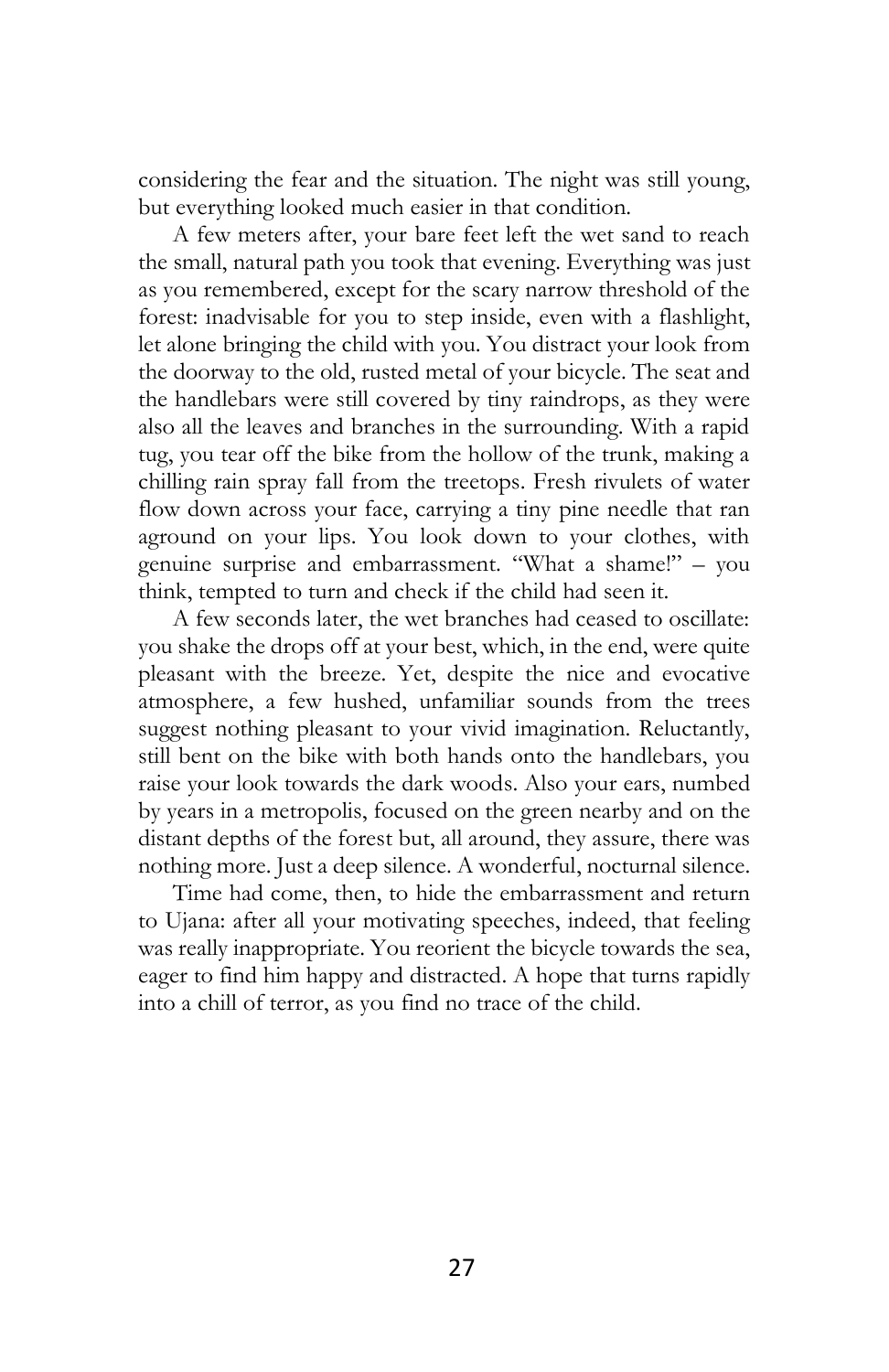considering the fear and the situation. The night was still young, but everything looked much easier in that condition.

A few meters after, your bare feet left the wet sand to reach the small, natural path you took that evening. Everything was just as you remembered, except for the scary narrow threshold of the forest: inadvisable for you to step inside, even with a flashlight, let alone bringing the child with you. You distract your look from the doorway to the old, rusted metal of your bicycle. The seat and the handlebars were still covered by tiny raindrops, as they were also all the leaves and branches in the surrounding. With a rapid tug, you tear off the bike from the hollow of the trunk, making a chilling rain spray fall from the treetops. Fresh rivulets of water flow down across your face, carrying a tiny pine needle that ran aground on your lips. You look down to your clothes, with genuine surprise and embarrassment. "What a shame!" – you think, tempted to turn and check if the child had seen it.

A few seconds later, the wet branches had ceased to oscillate: you shake the drops off at your best, which, in the end, were quite pleasant with the breeze. Yet, despite the nice and evocative atmosphere, a few hushed, unfamiliar sounds from the trees suggest nothing pleasant to your vivid imagination. Reluctantly, still bent on the bike with both hands onto the handlebars, you raise your look towards the dark woods. Also your ears, numbed by years in a metropolis, focused on the green nearby and on the distant depths of the forest but, all around, they assure, there was nothing more. Just a deep silence. A wonderful, nocturnal silence.

Time had come, then, to hide the embarrassment and return to Ujana: after all your motivating speeches, indeed, that feeling was really inappropriate. You reorient the bicycle towards the sea, eager to find him happy and distracted. A hope that turns rapidly into a chill of terror, as you find no trace of the child.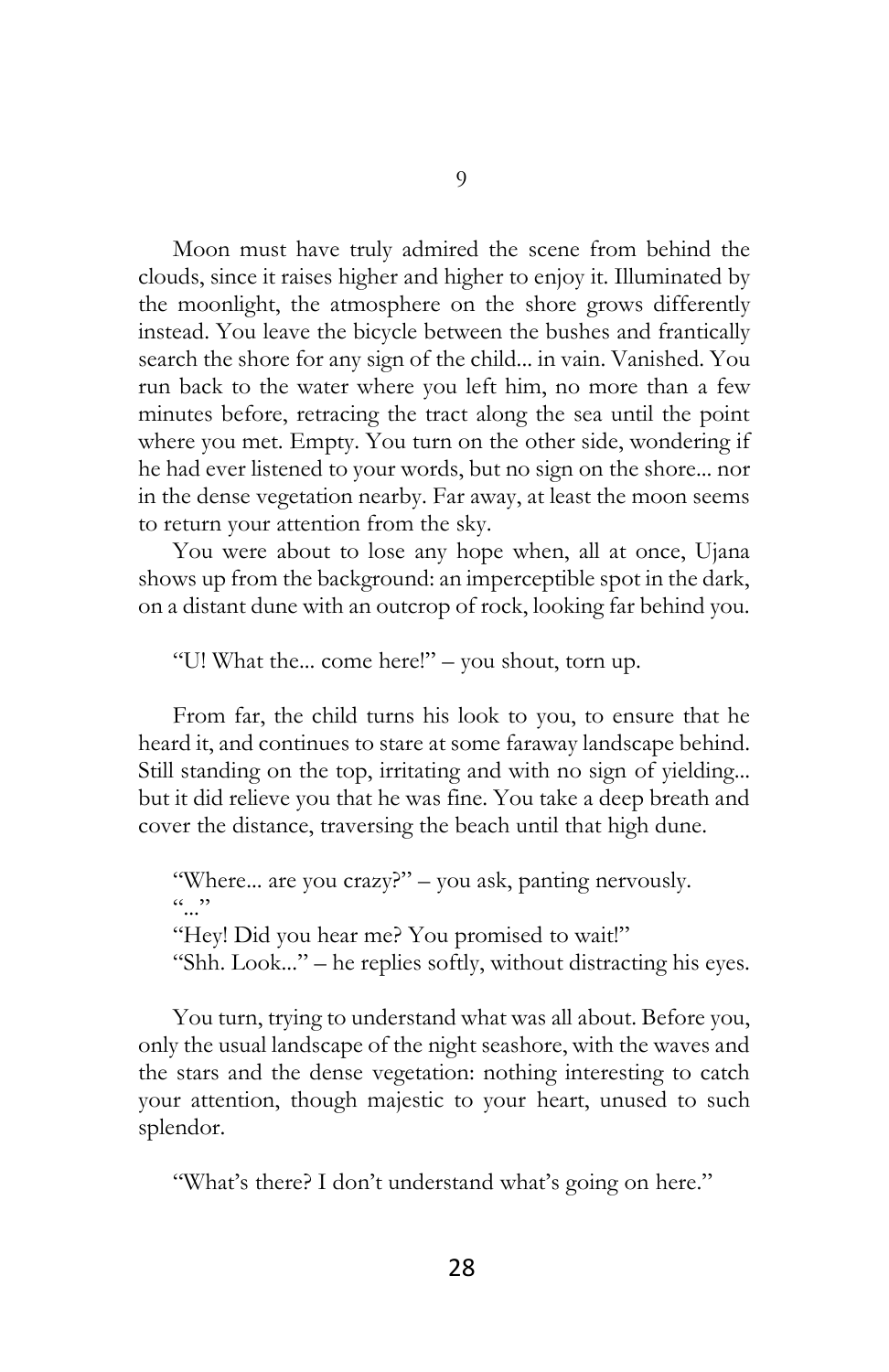Moon must have truly admired the scene from behind the clouds, since it raises higher and higher to enjoy it. Illuminated by the moonlight, the atmosphere on the shore grows differently instead. You leave the bicycle between the bushes and frantically search the shore for any sign of the child... in vain. Vanished. You run back to the water where you left him, no more than a few minutes before, retracing the tract along the sea until the point where you met. Empty. You turn on the other side, wondering if he had ever listened to your words, but no sign on the shore... nor in the dense vegetation nearby. Far away, at least the moon seems to return your attention from the sky.

You were about to lose any hope when, all at once, Ujana shows up from the background: an imperceptible spot in the dark, on a distant dune with an outcrop of rock, looking far behind you.

"U! What the... come here!" – you shout, torn up.

From far, the child turns his look to you, to ensure that he heard it, and continues to stare at some faraway landscape behind. Still standing on the top, irritating and with no sign of yielding... but it did relieve you that he was fine. You take a deep breath and cover the distance, traversing the beach until that high dune.

"Where... are you crazy?" – you ask, panting nervously.  $(0, 0)$ "Hey! Did you hear me? You promised to wait!" "Shh. Look..." – he replies softly, without distracting his eyes.

You turn, trying to understand what was all about. Before you, only the usual landscape of the night seashore, with the waves and the stars and the dense vegetation: nothing interesting to catch your attention, though majestic to your heart, unused to such splendor.

"What's there? I don't understand what's going on here."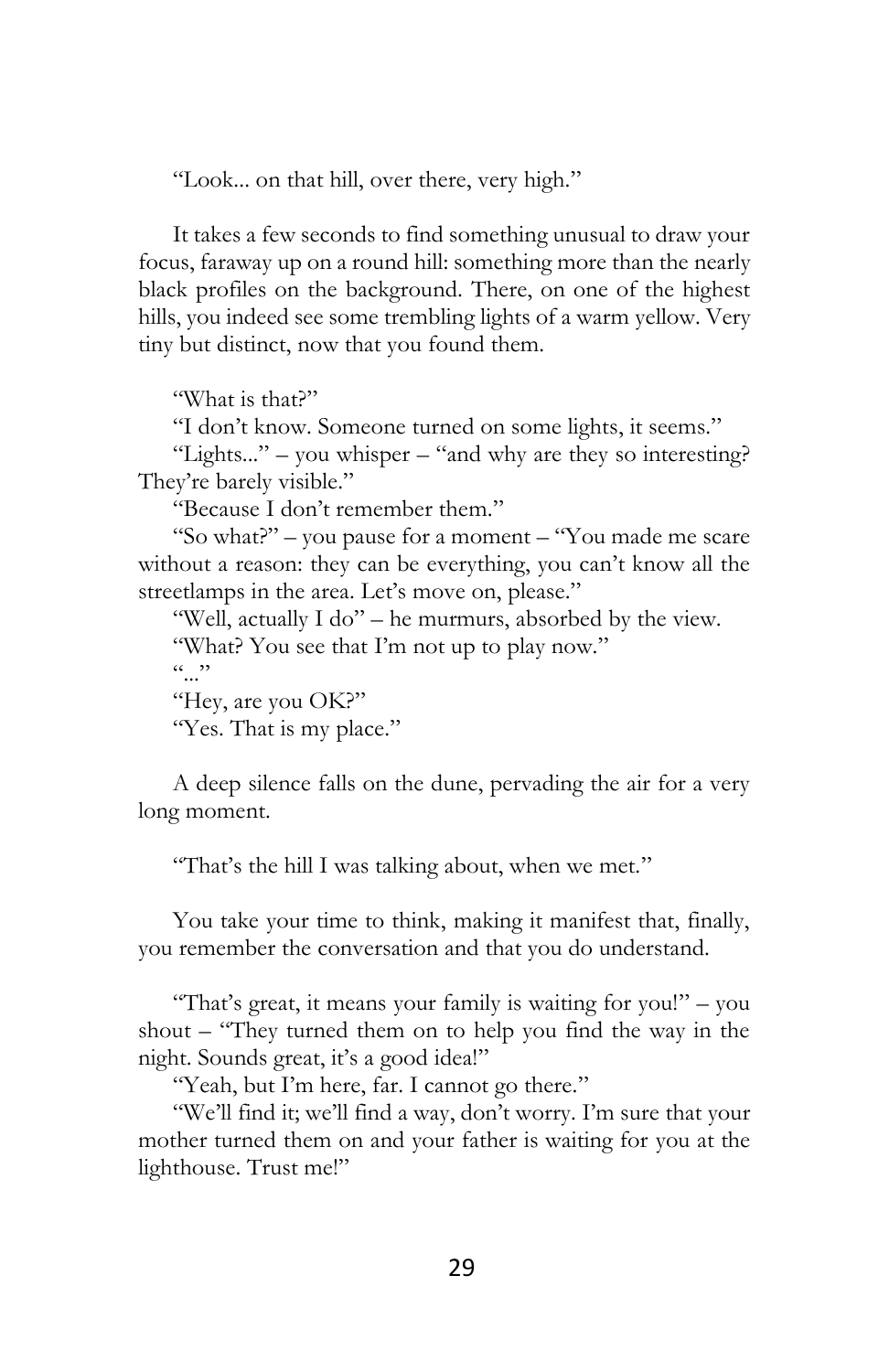"Look... on that hill, over there, very high."

It takes a few seconds to find something unusual to draw your focus, faraway up on a round hill: something more than the nearly black profiles on the background. There, on one of the highest hills, you indeed see some trembling lights of a warm yellow. Very tiny but distinct, now that you found them.

"What is that?"

"I don't know. Someone turned on some lights, it seems."

"Lights..." – you whisper – "and why are they so interesting? They're barely visible."

"Because I don't remember them."

"So what?" – you pause for a moment – "You made me scare without a reason: they can be everything, you can't know all the streetlamps in the area. Let's move on, please."

"Well, actually I do" – he murmurs, absorbed by the view. "What? You see that I'm not up to play now."

 $(0, 0)$ 

"Hey, are you OK?"

"Yes. That is my place."

A deep silence falls on the dune, pervading the air for a very long moment.

"That's the hill I was talking about, when we met."

You take your time to think, making it manifest that, finally, you remember the conversation and that you do understand.

"That's great, it means your family is waiting for you!" – you shout – "They turned them on to help you find the way in the night. Sounds great, it's a good idea!"

"Yeah, but I'm here, far. I cannot go there."

"We'll find it; we'll find a way, don't worry. I'm sure that your mother turned them on and your father is waiting for you at the lighthouse. Trust me!"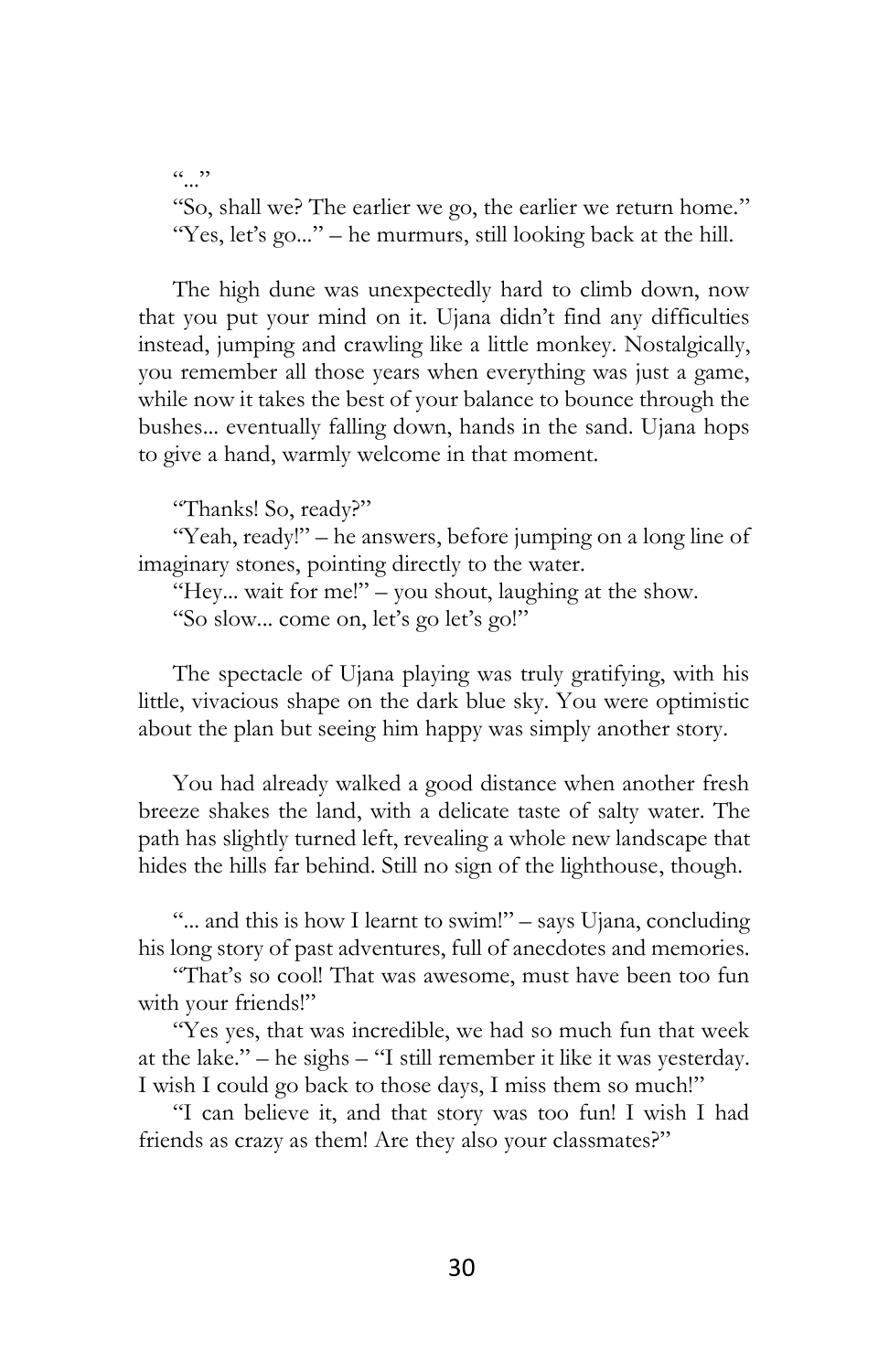$\cdots$ "So, shall we? The earlier we go, the earlier we return home." "Yes, let's go..." – he murmurs, still looking back at the hill.

The high dune was unexpectedly hard to climb down, now that you put your mind on it. Ujana didn't find any difficulties instead, jumping and crawling like a little monkey. Nostalgically, you remember all those years when everything was just a game, while now it takes the best of your balance to bounce through the bushes... eventually falling down, hands in the sand. Ujana hops to give a hand, warmly welcome in that moment.

"Thanks! So, ready?"

"Yeah, ready!" – he answers, before jumping on a long line of imaginary stones, pointing directly to the water.

"Hey... wait for me!" – you shout, laughing at the show.

"So slow... come on, let's go let's go!"

The spectacle of Ujana playing was truly gratifying, with his little, vivacious shape on the dark blue sky. You were optimistic about the plan but seeing him happy was simply another story.

You had already walked a good distance when another fresh breeze shakes the land, with a delicate taste of salty water. The path has slightly turned left, revealing a whole new landscape that hides the hills far behind. Still no sign of the lighthouse, though.

"... and this is how I learnt to swim!" – says Ujana, concluding his long story of past adventures, full of anecdotes and memories.

"That's so cool! That was awesome, must have been too fun with your friends!"

"Yes yes, that was incredible, we had so much fun that week at the lake." – he sighs – "I still remember it like it was yesterday. I wish I could go back to those days, I miss them so much!"

"I can believe it, and that story was too fun! I wish I had friends as crazy as them! Are they also your classmates?"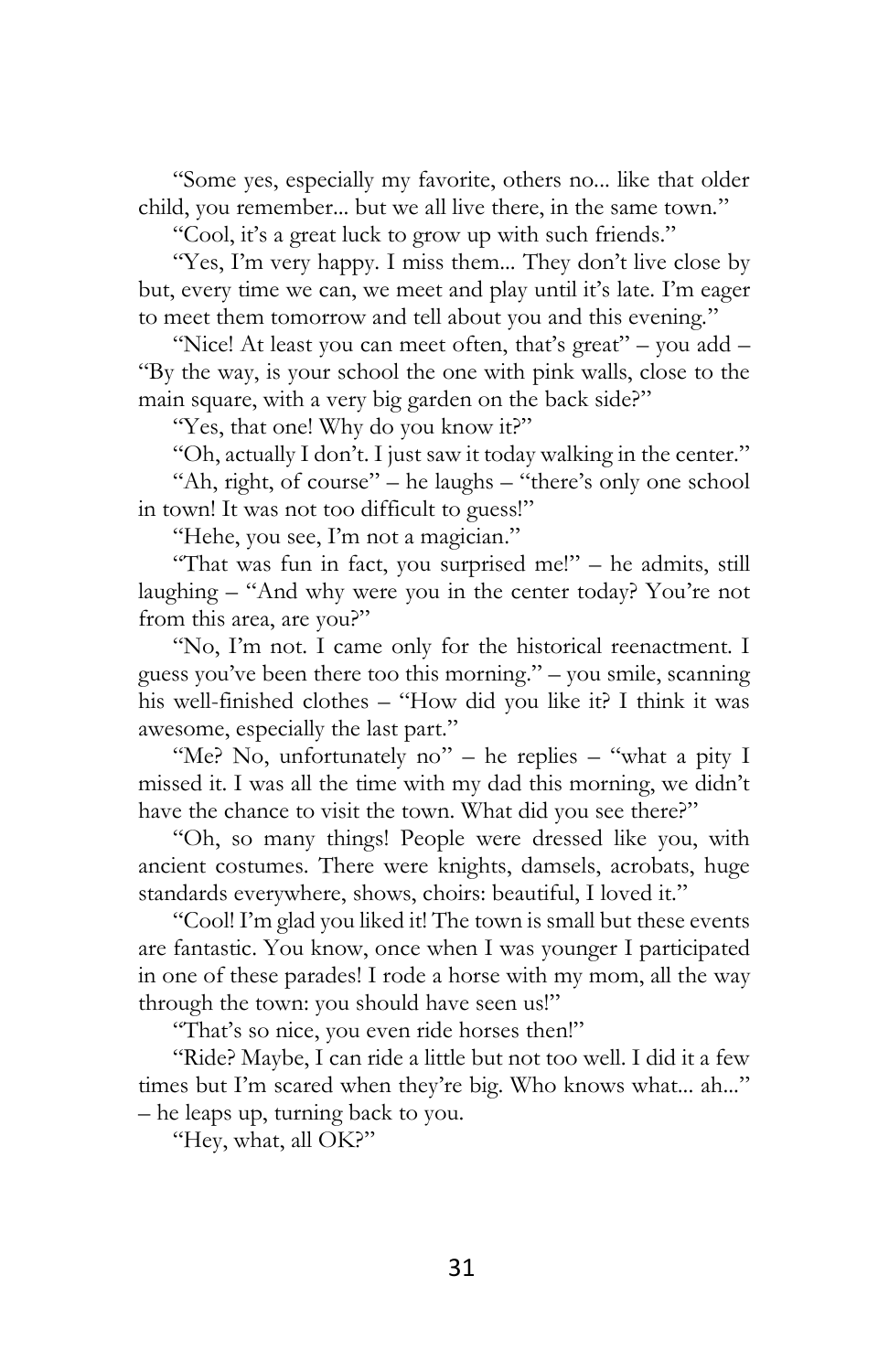"Some yes, especially my favorite, others no... like that older child, you remember... but we all live there, in the same town."

"Cool, it's a great luck to grow up with such friends."

"Yes, I'm very happy. I miss them... They don't live close by but, every time we can, we meet and play until it's late. I'm eager to meet them tomorrow and tell about you and this evening."

"Nice! At least you can meet often, that's great" – you add – "By the way, is your school the one with pink walls, close to the main square, with a very big garden on the back side?"

"Yes, that one! Why do you know it?"

"Oh, actually I don't. I just saw it today walking in the center."

"Ah, right, of course" – he laughs – "there's only one school in town! It was not too difficult to guess!"

"Hehe, you see, I'm not a magician."

"That was fun in fact, you surprised me!" – he admits, still laughing – "And why were you in the center today? You're not from this area, are you?"

"No, I'm not. I came only for the historical reenactment. I guess you've been there too this morning." – you smile, scanning his well-finished clothes – "How did you like it? I think it was awesome, especially the last part."

"Me? No, unfortunately no" – he replies – "what a pity I missed it. I was all the time with my dad this morning, we didn't have the chance to visit the town. What did you see there?"

"Oh, so many things! People were dressed like you, with ancient costumes. There were knights, damsels, acrobats, huge standards everywhere, shows, choirs: beautiful, I loved it."

"Cool! I'm glad you liked it! The town is small but these events are fantastic. You know, once when I was younger I participated in one of these parades! I rode a horse with my mom, all the way through the town: you should have seen us!"

"That's so nice, you even ride horses then!"

"Ride? Maybe, I can ride a little but not too well. I did it a few times but I'm scared when they're big. Who knows what... ah..." – he leaps up, turning back to you.

"Hey, what, all OK?"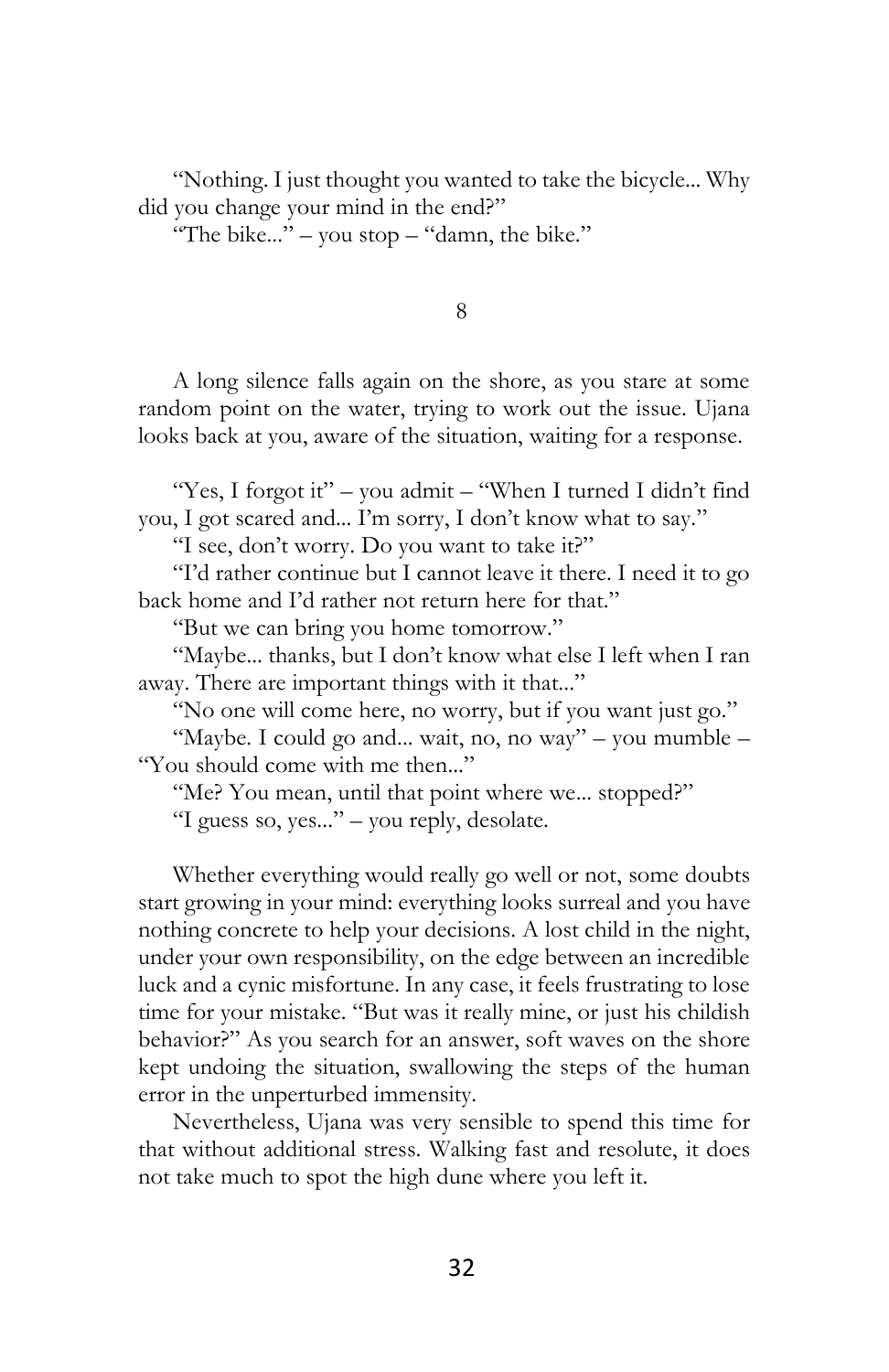"Nothing. I just thought you wanted to take the bicycle... Why did you change your mind in the end?"

"The bike..." – you stop – "damn, the bike."

8

A long silence falls again on the shore, as you stare at some random point on the water, trying to work out the issue. Ujana looks back at you, aware of the situation, waiting for a response.

"Yes, I forgot it" – you admit – "When I turned I didn't find you, I got scared and... I'm sorry, I don't know what to say."

"I see, don't worry. Do you want to take it?"

"I'd rather continue but I cannot leave it there. I need it to go back home and I'd rather not return here for that."

"But we can bring you home tomorrow."

"Maybe... thanks, but I don't know what else I left when I ran away. There are important things with it that..."

"No one will come here, no worry, but if you want just go."

"Maybe. I could go and... wait, no, no way" – you mumble – "You should come with me then..."

"Me? You mean, until that point where we... stopped?" "I guess so, yes..." – you reply, desolate.

Whether everything would really go well or not, some doubts start growing in your mind: everything looks surreal and you have nothing concrete to help your decisions. A lost child in the night, under your own responsibility, on the edge between an incredible luck and a cynic misfortune. In any case, it feels frustrating to lose time for your mistake. "But was it really mine, or just his childish behavior?" As you search for an answer, soft waves on the shore kept undoing the situation, swallowing the steps of the human error in the unperturbed immensity.

Nevertheless, Ujana was very sensible to spend this time for that without additional stress. Walking fast and resolute, it does not take much to spot the high dune where you left it.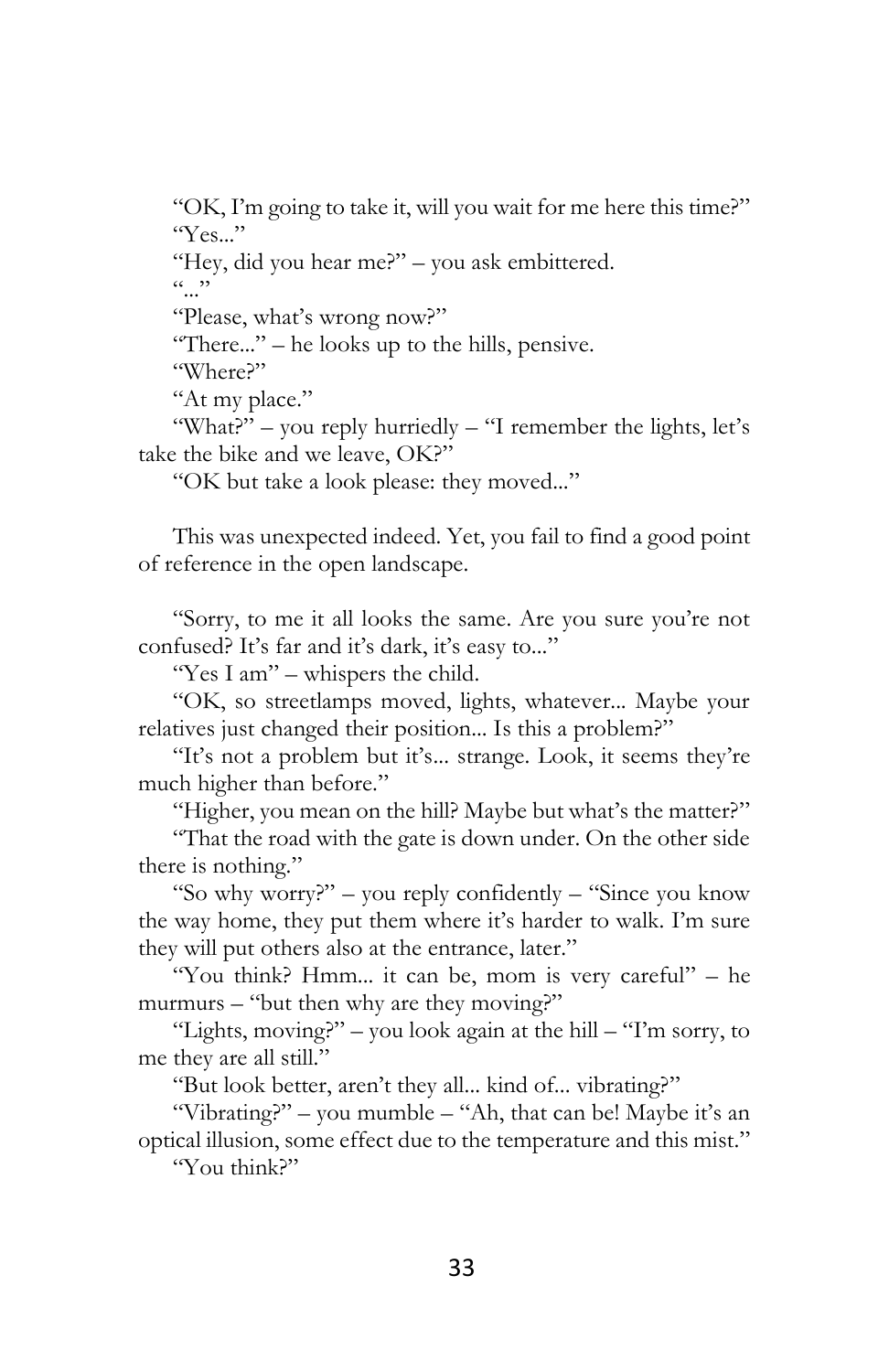"OK, I'm going to take it, will you wait for me here this time?"  $"Yes."$ 

"Hey, did you hear me?" – you ask embittered.

 $(0, 0)$ 

"Please, what's wrong now?"

"There..." – he looks up to the hills, pensive.

"Where?"

"At my place."

"What?" – you reply hurriedly – "I remember the lights, let's take the bike and we leave, OK?"

"OK but take a look please: they moved..."

This was unexpected indeed. Yet, you fail to find a good point of reference in the open landscape.

"Sorry, to me it all looks the same. Are you sure you're not confused? It's far and it's dark, it's easy to..."

"Yes I am" – whispers the child.

"OK, so streetlamps moved, lights, whatever... Maybe your relatives just changed their position... Is this a problem?"

"It's not a problem but it's... strange. Look, it seems they're much higher than before."

"Higher, you mean on the hill? Maybe but what's the matter?"

"That the road with the gate is down under. On the other side there is nothing."

"So why worry?" – you reply confidently – "Since you know the way home, they put them where it's harder to walk. I'm sure they will put others also at the entrance, later."

"You think? Hmm... it can be, mom is very careful" – he murmurs – "but then why are they moving?"

"Lights, moving?" – you look again at the hill – "I'm sorry, to me they are all still."

"But look better, aren't they all... kind of... vibrating?"

"Vibrating?" – you mumble – "Ah, that can be! Maybe it's an optical illusion, some effect due to the temperature and this mist."

"You think?"